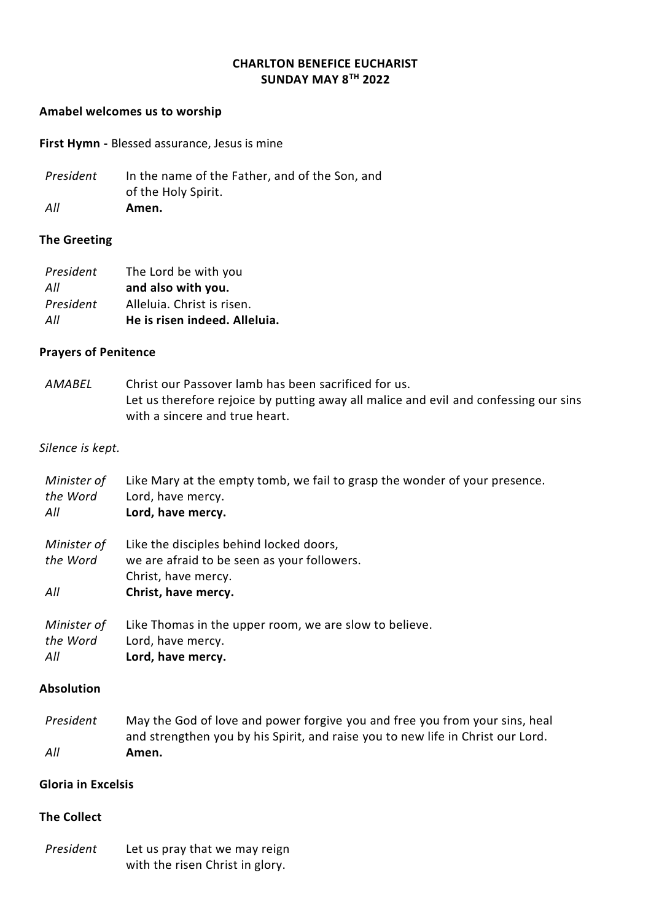## **CHARLTON BENEFICE EUCHARIST SUNDAY MAY 8TH 2022**

#### **Amabel welcomes us to worship**

**First Hymn -** Blessed assurance, Jesus is mine

| All       | Amen.                                          |
|-----------|------------------------------------------------|
|           | of the Holy Spirit.                            |
| President | In the name of the Father, and of the Son, and |

#### **The Greeting**

| President | The Lord be with you          |
|-----------|-------------------------------|
| All       | and also with you.            |
| President | Alleluia. Christ is risen.    |
| All       | He is risen indeed. Alleluia. |

#### **Prayers of Penitence**

| AMABEL | Christ our Passover lamb has been sacrificed for us.                                 |
|--------|--------------------------------------------------------------------------------------|
|        | Let us therefore rejoice by putting away all malice and evil and confessing our sins |
|        | with a sincere and true heart.                                                       |

## *Silence is kept.*

| Minister of             | Like Mary at the empty tomb, we fail to grasp the wonder of your presence.                                    |
|-------------------------|---------------------------------------------------------------------------------------------------------------|
| the Word                | Lord, have mercy.                                                                                             |
| All                     | Lord, have mercy.                                                                                             |
| Minister of<br>the Word | Like the disciples behind locked doors,<br>we are afraid to be seen as your followers.<br>Christ, have mercy. |
| All                     | Christ, have mercy.                                                                                           |
| Minister of             | Like Thomas in the upper room, we are slow to believe.                                                        |
| the Word                | Lord, have mercy.                                                                                             |
| All                     | Lord, have mercy.                                                                                             |

## **Absolution**

*President* May the God of love and power forgive you and free you from your sins, heal and strengthen you by his Spirit, and raise you to new life in Christ our Lord. *All* **Amen.**

## **Gloria in Excelsis**

#### **The Collect**

*President* Let us pray that we may reign with the risen Christ in glory.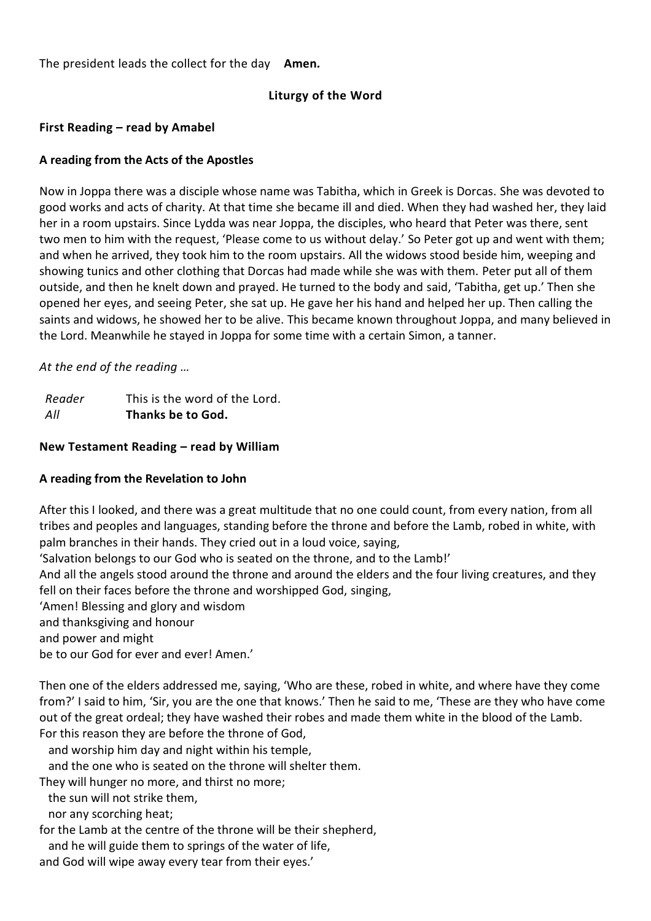The president leads the collect for the day**Amen***.*

## **Liturgy of the Word**

## **First Reading – read by Amabel**

## **A reading from the Acts of the Apostles**

Now in Joppa there was a disciple whose name was Tabitha, which in Greek is Dorcas. She was devoted to good works and acts of charity. At that time she became ill and died. When they had washed her, they laid her in a room upstairs. Since Lydda was near Joppa, the disciples, who heard that Peter was there, sent two men to him with the request, 'Please come to us without delay.' So Peter got up and went with them; and when he arrived, they took him to the room upstairs. All the widows stood beside him, weeping and showing tunics and other clothing that Dorcas had made while she was with them. Peter put all of them outside, and then he knelt down and prayed. He turned to the body and said, 'Tabitha, get up.' Then she opened her eyes, and seeing Peter, she sat up. He gave her his hand and helped her up. Then calling the saints and widows, he showed her to be alive. This became known throughout Joppa, and many believed in the Lord. Meanwhile he stayed in Joppa for some time with a certain Simon, a tanner.

*At the end of the reading …*

*Reader All* This is the word of the Lord. **Thanks be to God.**

## **New Testament Reading – read by William**

## **A reading from the Revelation to John**

After this I looked, and there was a great multitude that no one could count, from every nation, from all tribes and peoples and languages, standing before the throne and before the Lamb, robed in white, with palm branches in their hands. They cried out in a loud voice, saying,

'Salvation belongs to our God who is seated on the throne, and to the Lamb!'

And all the angels stood around the throne and around the elders and the four living creatures, and they fell on their faces before the throne and worshipped God, singing,

'Amen! Blessing and glory and wisdom

and thanksgiving and honour

and power and might

be to our God for ever and ever! Amen.'

Then one of the elders addressed me, saying, 'Who are these, robed in white, and where have they come from?' I said to him, 'Sir, you are the one that knows.' Then he said to me, 'These are they who have come out of the great ordeal; they have washed their robes and made them white in the blood of the Lamb. For this reason they are before the throne of God,

and worship him day and night within his temple,

and the one who is seated on the throne will shelter them.

They will hunger no more, and thirst no more;

the sun will not strike them,

nor any scorching heat;

for the Lamb at the centre of the throne will be their shepherd,

and he will guide them to springs of the water of life,

and God will wipe away every tear from their eyes.'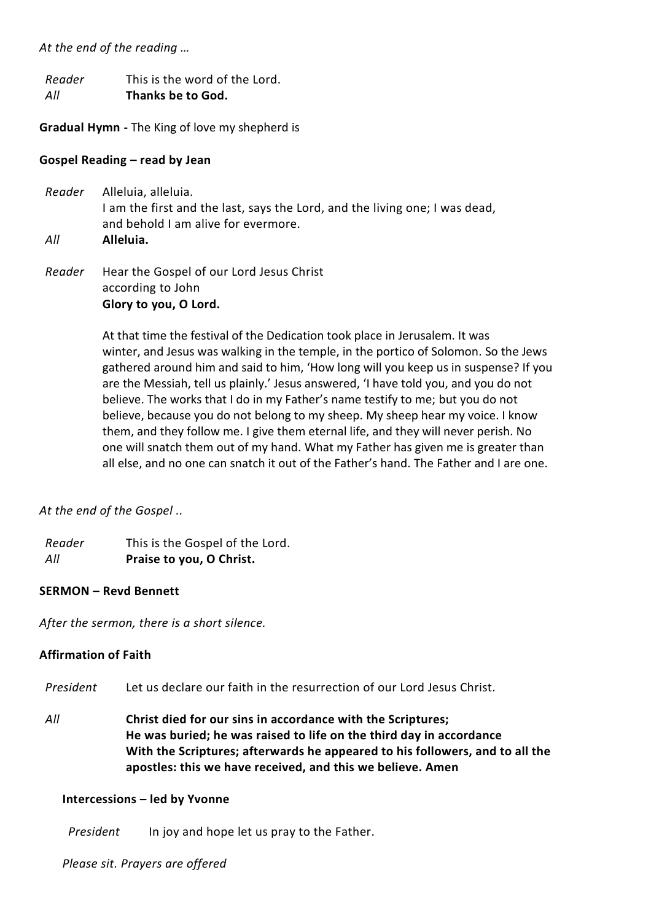*At the end of the reading …*

*Reader All* This is the word of the Lord. **Thanks be to God.**

**Gradual Hymn -** The King of love my shepherd is

## **Gospel Reading – read by Jean**

- *Reader* Alleluia, alleluia. I am the first and the last, says the Lord, and the living one; I was dead, and behold I am alive for evermore. *All* **Alleluia.**
- *Reader* Hear the Gospel of our Lord Jesus Christ according to John **Glory to you, O Lord.**

At that time the festival of the Dedication took place in Jerusalem. It was winter, and Jesus was walking in the temple, in the portico of Solomon. So the Jews gathered around him and said to him, 'How long will you keep us in suspense? If you are the Messiah, tell us plainly.' Jesus answered, 'I have told you, and you do not believe. The works that I do in my Father's name testify to me; but you do not believe, because you do not belong to my sheep. My sheep hear my voice. I know them, and they follow me. I give them eternal life, and they will never perish. No one will snatch them out of my hand. What my Father has given me is greater than all else, and no one can snatch it out of the Father's hand. The Father and I are one.

*At the end of the Gospel ..*

*Reader* This is the Gospel of the Lord. *All* **Praise to you, O Christ.**

#### **SERMON – Revd Bennett**

*After the sermon, there is a short silence.*

## **Affirmation of Faith**

- *President* Let us declare our faith in the resurrection of our Lord Jesus Christ.
- *All* **Christ died for our sins in accordance with the Scriptures; He was buried; he was raised to life on the third day in accordance With the Scriptures; afterwards he appeared to his followers, and to all the apostles: this we have received, and this we believe. Amen**

#### **Intercessions – led by Yvonne**

*President* In joy and hope let us pray to the Father.

*Please sit. Prayers are offered*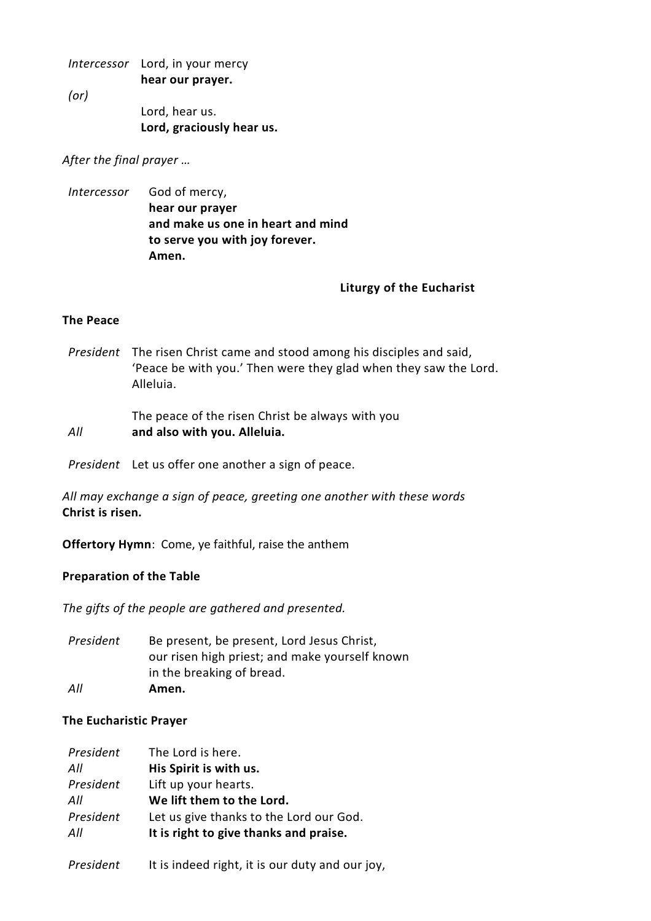*Intercessor* Lord, in your mercy **hear our prayer.** *(or)* Lord, hear us. **Lord, graciously hear us.**

*After the final prayer …*

*Intercessor* God of mercy, **hear our prayer and make us one in heart and mind to serve you with joy forever. Amen.**

#### **Liturgy of the Eucharist**

#### **The Peace**

*President* The risen Christ came and stood among his disciples and said, 'Peace be with you.' Then were they glad when they saw the Lord. Alleluia.

The peace of the risen Christ be always with you *All* **and also with you. Alleluia.**

*President* Let us offer one another a sign of peace.

*All may exchange a sign of peace, greeting one another with these words*  **Christ is risen.**

**Offertory Hymn**: Come, ye faithful, raise the anthem

#### **Preparation of the Table**

*The gifts of the people are gathered and presented.*

*President* Be present, be present, Lord Jesus Christ, our risen high priest; and make yourself known in the breaking of bread. *All* **Amen.**

#### **The Eucharistic Prayer**

| President | The Lord is here.                       |
|-----------|-----------------------------------------|
| All       | His Spirit is with us.                  |
| President | Lift up your hearts.                    |
| All       | We lift them to the Lord.               |
| President | Let us give thanks to the Lord our God. |
| All       | It is right to give thanks and praise.  |
|           |                                         |

*President* It is indeed right, it is our duty and our joy,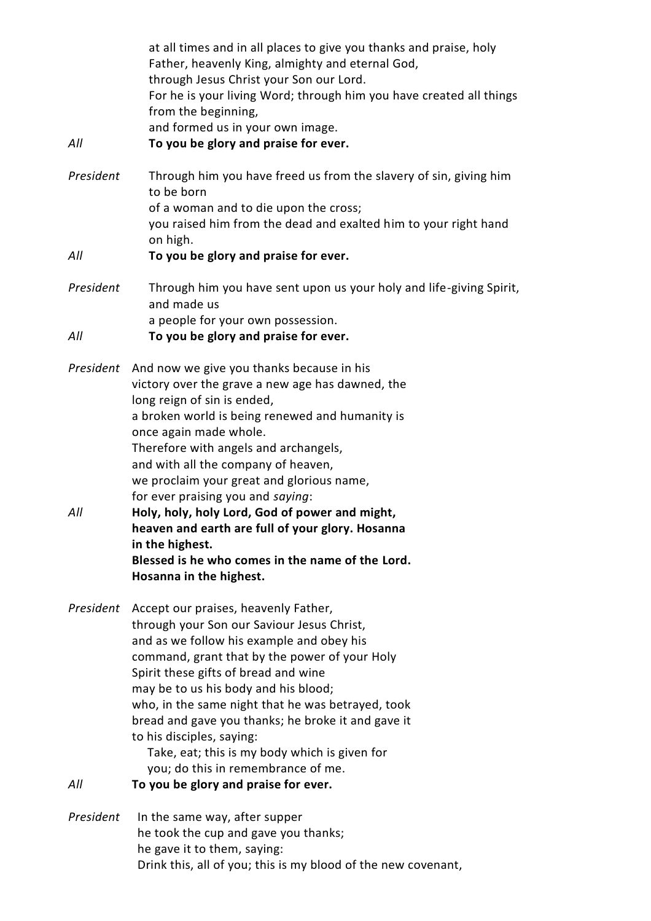at all times and in all places to give you thanks and praise, holy Father, heavenly King, almighty and eternal God, through Jesus Christ your Son our Lord. For he is your living Word; through him you have created all things from the beginning, and formed us in your own image. *All* **To you be glory and praise for ever.** *President* Through him you have freed us from the slavery of sin, giving him to be born of a woman and to die upon the cross; you raised him from the dead and exalted him to your right hand on high. *All* **To you be glory and praise for ever.** *President* Through him you have sent upon us your holy and life-giving Spirit, and made us a people for your own possession. *All* **To you be glory and praise for ever.** *President* And now we give you thanks because in his victory over the grave a new age has dawned, the long reign of sin is ended, a broken world is being renewed and humanity is once again made whole. Therefore with angels and archangels, and with all the company of heaven, we proclaim your great and glorious name, for ever praising you and *saying*: *All* **Holy, holy, holy Lord, God of power and might, heaven and earth are full of your glory. Hosanna in the highest. Blessed is he who comes in the name of the Lord. Hosanna in the highest.** *President* Accept our praises, heavenly Father, through your Son our Saviour Jesus Christ, and as we follow his example and obey his command, grant that by the power of your Holy Spirit these gifts of bread and wine may be to us his body and his blood; who, in the same night that he was betrayed, took bread and gave you thanks; he broke it and gave it to his disciples, saying: Take, eat; this is my body which is given for you; do this in remembrance of me. *All* **To you be glory and praise for ever.** *President* In the same way, after supper he took the cup and gave you thanks; he gave it to them, saying: Drink this, all of you; this is my blood of the new covenant,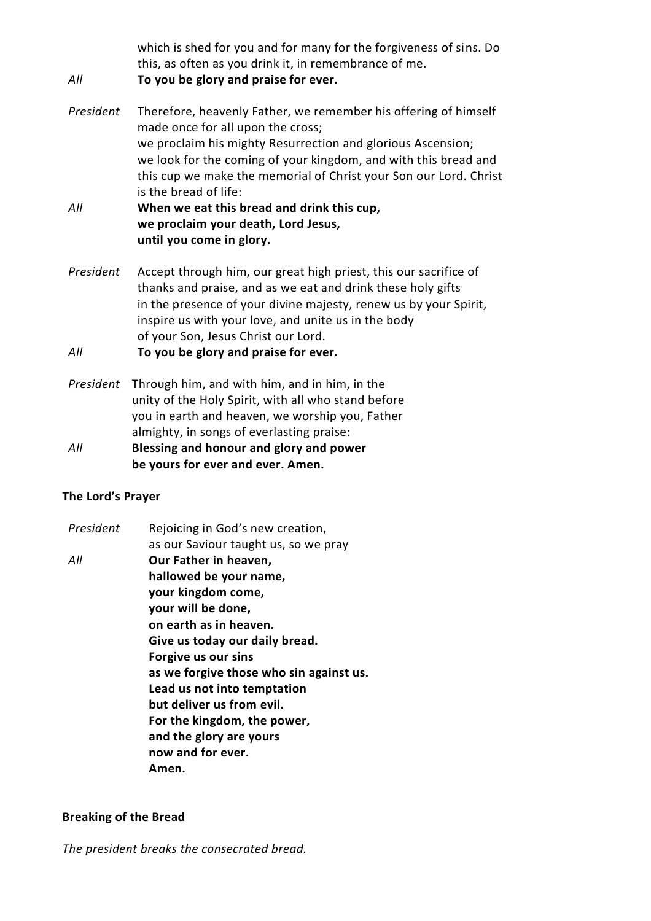which is shed for you and for many for the forgiveness of sins. Do this, as often as you drink it, in remembrance of me. *All* **To you be glory and praise for ever.** *President* Therefore, heavenly Father, we remember his offering of himself made once for all upon the cross; we proclaim his mighty Resurrection and glorious Ascension; we look for the coming of your kingdom, and with this bread and this cup we make the memorial of Christ your Son our Lord. Christ is the bread of life: *All* **When we eat this bread and drink this cup,**

- **we proclaim your death, Lord Jesus, until you come in glory.**
- *President* Accept through him, our great high priest, this our sacrifice of thanks and praise, and as we eat and drink these holy gifts in the presence of your divine majesty, renew us by your Spirit, inspire us with your love, and unite us in the body of your Son, Jesus Christ our Lord.

## *All* **To you be glory and praise for ever.**

- *President* Through him, and with him, and in him, in the unity of the Holy Spirit, with all who stand before you in earth and heaven, we worship you, Father almighty, in songs of everlasting praise:
- *All* **Blessing and honour and glory and power be yours for ever and ever. Amen.**

## **The Lord's Prayer**

- *President* Rejoicing in God's new creation, as our Saviour taught us, so we pray *All* **Our Father in heaven,**
	- **hallowed be your name, your kingdom come, your will be done, on earth as in heaven. Give us today our daily bread. Forgive us our sins as we forgive those who sin against us. Lead us not into temptation but deliver us from evil. For the kingdom, the power, and the glory are yours now and for ever. Amen.**

## **Breaking of the Bread**

*The president breaks the consecrated bread.*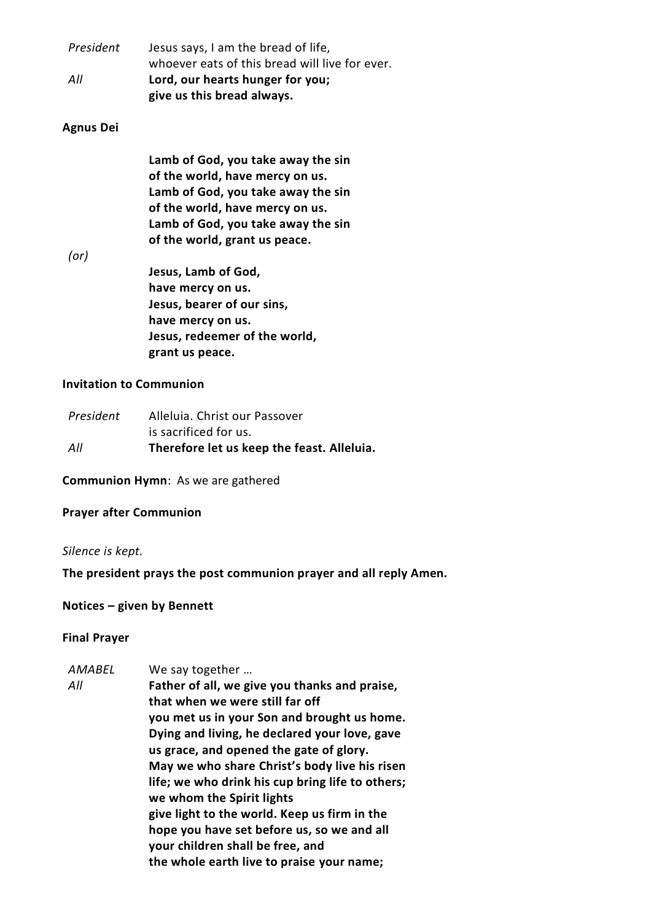| President | Jesus says, I am the bread of life,            |
|-----------|------------------------------------------------|
|           | whoever eats of this bread will live for ever. |
| All       | Lord, our hearts hunger for you;               |
|           | give us this bread always.                     |

## **Agnus Dei**

| Lamb of God, you take away the sin |
|------------------------------------|
| of the world, have mercy on us.    |
| Lamb of God, you take away the sin |
| of the world, have mercy on us.    |
| Lamb of God, you take away the sin |
| of the world, grant us peace.      |

*(or)*

**Jesus, Lamb of God, have mercy on us. Jesus, bearer of our sins, have mercy on us. Jesus, redeemer of the world, grant us peace.**

## **Invitation to Communion**

| President | Alleluia. Christ our Passover              |
|-----------|--------------------------------------------|
|           | is sacrificed for us.                      |
| All       | Therefore let us keep the feast. Alleluia. |

**Communion Hymn**: As we are gathered

## **Prayer after Communion**

#### *Silence is kept.*

**The president prays the post communion prayer and all reply Amen.**

#### **Notices – given by Bennett**

#### **Final Prayer**

| <b>AMABEL</b> | We say together                                                               |
|---------------|-------------------------------------------------------------------------------|
| All           | Father of all, we give you thanks and praise,                                 |
|               | that when we were still far off                                               |
|               | you met us in your Son and brought us home.                                   |
|               | Dying and living, he declared your love, gave                                 |
|               | us grace, and opened the gate of glory.                                       |
|               | May we who share Christ's body live his risen                                 |
|               | life; we who drink his cup bring life to others;<br>we whom the Spirit lights |
|               | give light to the world. Keep us firm in the                                  |
|               | hope you have set before us, so we and all                                    |
|               | your children shall be free, and                                              |
|               | the whole earth live to praise your name;                                     |